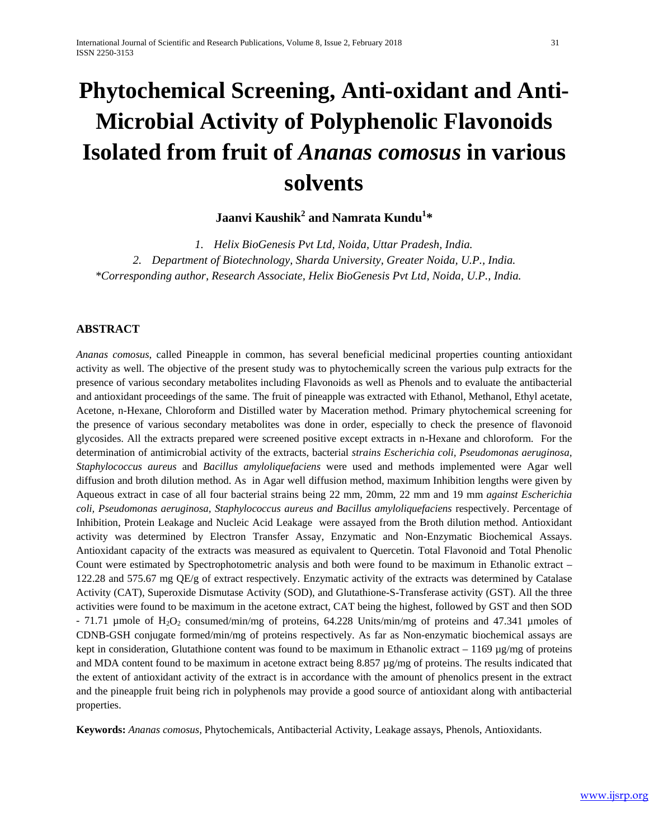# **Phytochemical Screening, Anti-oxidant and Anti-Microbial Activity of Polyphenolic Flavonoids Isolated from fruit of** *Ananas comosus* **in various solvents**

**Jaanvi Kaushik<sup>2</sup> and Namrata Kundu1 \***

*1. Helix BioGenesis Pvt Ltd, Noida, Uttar Pradesh, India. 2. Department of Biotechnology, Sharda University, Greater Noida, U.P., India. \*Corresponding author, Research Associate, Helix BioGenesis Pvt Ltd, Noida, U.P., India.*

# **ABSTRACT**

*Ananas comosus*, called Pineapple in common, has several beneficial medicinal properties counting antioxidant activity as well. The objective of the present study was to phytochemically screen the various pulp extracts for the presence of various secondary metabolites including Flavonoids as well as Phenols and to evaluate the antibacterial and antioxidant proceedings of the same. The fruit of pineapple was extracted with Ethanol, Methanol, Ethyl acetate, Acetone, n-Hexane, Chloroform and Distilled water by Maceration method. Primary phytochemical screening for the presence of various secondary metabolites was done in order, especially to check the presence of flavonoid glycosides. All the extracts prepared were screened positive except extracts in n-Hexane and chloroform. For the determination of antimicrobial activity of the extracts, bacterial *strains Escherichia coli, Pseudomonas aeruginosa, Staphylococcus aureus* and *Bacillus amyloliquefaciens* were used and methods implemented were Agar well diffusion and broth dilution method. As in Agar well diffusion method, maximum Inhibition lengths were given by Aqueous extract in case of all four bacterial strains being 22 mm, 20mm, 22 mm and 19 mm *against Escherichia coli, Pseudomonas aeruginosa, Staphylococcus aureus and Bacillus amyloliquefaciens* respectively. Percentage of Inhibition, Protein Leakage and Nucleic Acid Leakage were assayed from the Broth dilution method. Antioxidant activity was determined by Electron Transfer Assay, Enzymatic and Non-Enzymatic Biochemical Assays. Antioxidant capacity of the extracts was measured as equivalent to Quercetin. Total Flavonoid and Total Phenolic Count were estimated by Spectrophotometric analysis and both were found to be maximum in Ethanolic extract – 122.28 and 575.67 mg QE/g of extract respectively. Enzymatic activity of the extracts was determined by Catalase Activity (CAT), Superoxide Dismutase Activity (SOD), and Glutathione-S-Transferase activity (GST). All the three activities were found to be maximum in the acetone extract, CAT being the highest, followed by GST and then SOD  $-71.71$  µmole of H<sub>2</sub>O<sub>2</sub> consumed/min/mg of proteins, 64.228 Units/min/mg of proteins and 47.341 µmoles of CDNB-GSH conjugate formed/min/mg of proteins respectively. As far as Non-enzymatic biochemical assays are kept in consideration, Glutathione content was found to be maximum in Ethanolic extract – 1169  $\mu$ g/mg of proteins and MDA content found to be maximum in acetone extract being 8.857 µg/mg of proteins. The results indicated that the extent of antioxidant activity of the extract is in accordance with the amount of phenolics present in the extract and the pineapple fruit being rich in polyphenols may provide a good source of antioxidant along with antibacterial properties.

**Keywords:** *Ananas comosus,* Phytochemicals, Antibacterial Activity, Leakage assays, Phenols, Antioxidants.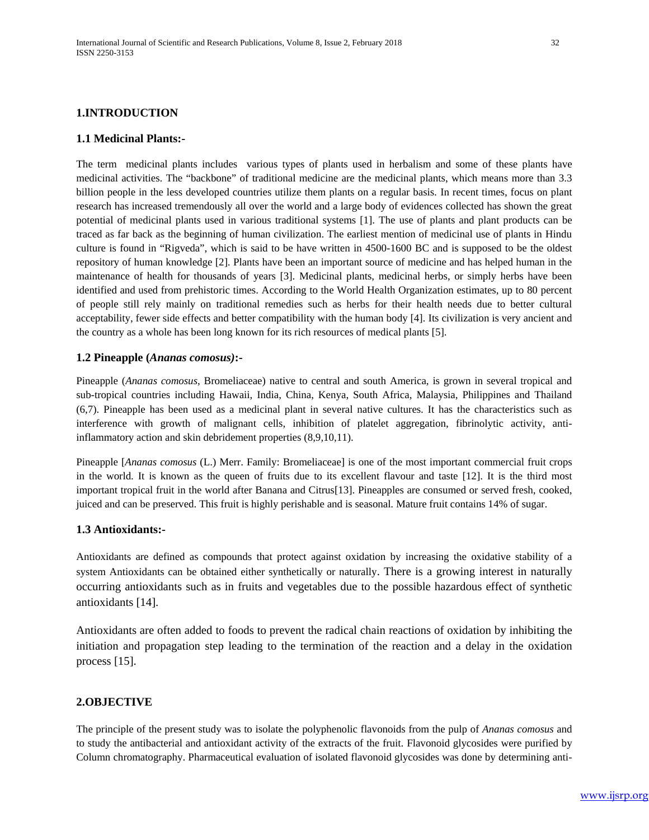#### **1.1 Medicinal Plants:-**

The term medicinal plants includes various types of plants used in herbalism and some of these plants have medicinal activities. The "backbone" of traditional medicine are the medicinal plants, which means more than 3.3 billion people in the less developed countries utilize them plants on a regular basis. In recent times, focus on plant research has increased tremendously all over the world and a large body of evidences collected has shown the great potential of medicinal plants used in various traditional systems [1]. The use of plants and plant products can be traced as far back as the beginning of human civilization. The earliest mention of medicinal use of plants in Hindu culture is found in "Rigveda", which is said to be have written in 4500-1600 BC and is supposed to be the oldest repository of human knowledge [2]. Plants have been an important source of medicine and has helped human in the maintenance of health for thousands of years [3]. Medicinal plants, medicinal herbs, or simply herbs have been identified and used from prehistoric times. According to the World Health Organization estimates, up to 80 percent of people still rely mainly on traditional remedies such as herbs for their health needs due to better cultural acceptability, fewer side effects and better compatibility with the human body [4]. Its civilization is very ancient and the country as a whole has been long known for its rich resources of medical plants [5].

#### **1.2 Pineapple (***Ananas comosus)***:-**

Pineapple (*Ananas comosus*, Bromeliaceae) native to central and south America, is grown in several tropical and sub-tropical countries including Hawaii, India, China, Kenya, South Africa, Malaysia, Philippines and Thailand (6,7). Pineapple has been used as a medicinal plant in several native cultures. It has the characteristics such as interference with growth of malignant cells, inhibition of platelet aggregation, fibrinolytic activity, antiinflammatory action and skin debridement properties (8,9,10,11).

Pineapple [*Ananas comosus* (L.) Merr. Family: Bromeliaceae] is one of the most important commercial fruit crops in the world. It is known as the queen of fruits due to its excellent flavour and taste [12]. It is the third most important tropical fruit in the world after Banana and Citrus[13]. Pineapples are consumed or served fresh, cooked, juiced and can be preserved. This fruit is highly perishable and is seasonal. Mature fruit contains 14% of sugar.

#### **1.3 Antioxidants:-**

Antioxidants are defined as compounds that protect against oxidation by increasing the oxidative stability of a system Antioxidants can be obtained either synthetically or naturally. There is a growing interest in naturally occurring antioxidants such as in fruits and vegetables due to the possible hazardous effect of synthetic antioxidants [14].

Antioxidants are often added to foods to prevent the radical chain reactions of oxidation by inhibiting the initiation and propagation step leading to the termination of the reaction and a delay in the oxidation process [15].

## **2.OBJECTIVE**

The principle of the present study was to isolate the polyphenolic flavonoids from the pulp of *Ananas comosus* and to study the antibacterial and antioxidant activity of the extracts of the fruit. Flavonoid glycosides were purified by Column chromatography. Pharmaceutical evaluation of isolated flavonoid glycosides was done by determining anti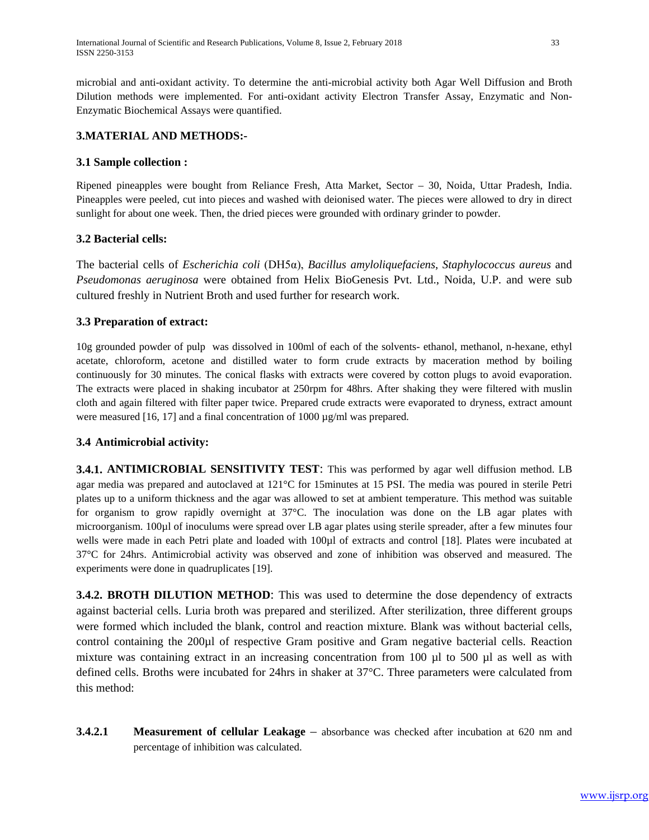microbial and anti-oxidant activity. To determine the anti-microbial activity both Agar Well Diffusion and Broth Dilution methods were implemented. For anti-oxidant activity Electron Transfer Assay, Enzymatic and Non-Enzymatic Biochemical Assays were quantified.

# **3.MATERIAL AND METHODS:-**

# **3.1 Sample collection :**

Ripened pineapples were bought from Reliance Fresh, Atta Market, Sector – 30, Noida, Uttar Pradesh, India. Pineapples were peeled, cut into pieces and washed with deionised water. The pieces were allowed to dry in direct sunlight for about one week. Then, the dried pieces were grounded with ordinary grinder to powder.

# **3.2 Bacterial cells:**

The bacterial cells of *Escherichia coli* (DH5α), *Bacillus amyloliquefaciens*, *Staphylococcus aureus* and *Pseudomonas aeruginosa* were obtained from Helix BioGenesis Pvt. Ltd., Noida, U.P. and were sub cultured freshly in Nutrient Broth and used further for research work.

# **3.3 Preparation of extract:**

10g grounded powder of pulp was dissolved in 100ml of each of the solvents- ethanol, methanol, n-hexane, ethyl acetate, chloroform, acetone and distilled water to form crude extracts by maceration method by boiling continuously for 30 minutes. The conical flasks with extracts were covered by cotton plugs to avoid evaporation. The extracts were placed in shaking incubator at 250rpm for 48hrs. After shaking they were filtered with muslin cloth and again filtered with filter paper twice. Prepared crude extracts were evaporated to dryness, extract amount were measured [16, 17] and a final concentration of 1000  $\mu$ g/ml was prepared.

## **3.4 Antimicrobial activity:**

**3.4.1. ANTIMICROBIAL SENSITIVITY TEST**: This was performed by agar well diffusion method. LB agar media was prepared and autoclaved at 121°C for 15minutes at 15 PSI. The media was poured in sterile Petri plates up to a uniform thickness and the agar was allowed to set at ambient temperature. This method was suitable for organism to grow rapidly overnight at 37°C. The inoculation was done on the LB agar plates with microorganism. 100µl of inoculums were spread over LB agar plates using sterile spreader, after a few minutes four wells were made in each Petri plate and loaded with 100 $\mu$ l of extracts and control [18]. Plates were incubated at 37°C for 24hrs. Antimicrobial activity was observed and zone of inhibition was observed and measured. The experiments were done in quadruplicates [19].

**3.4.2. BROTH DILUTION METHOD**: This was used to determine the dose dependency of extracts against bacterial cells. Luria broth was prepared and sterilized. After sterilization, three different groups were formed which included the blank, control and reaction mixture. Blank was without bacterial cells, control containing the 200µl of respective Gram positive and Gram negative bacterial cells. Reaction mixture was containing extract in an increasing concentration from 100 µl to 500 µl as well as with defined cells. Broths were incubated for 24hrs in shaker at 37°C. Three parameters were calculated from this method:

**3.4.2.1 Measurement of cellular Leakage** – absorbance was checked after incubation at 620 nm and percentage of inhibition was calculated.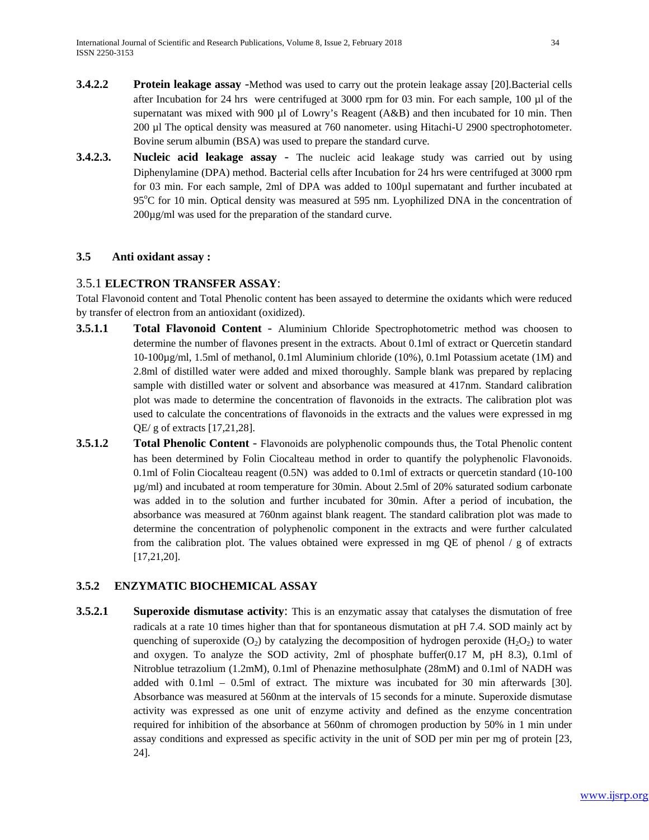- **3.4.2.2 Protein leakage assay** -Method was used to carry out the protein leakage assay [20].Bacterial cells after Incubation for 24 hrs were centrifuged at 3000 rpm for 03 min. For each sample, 100 µl of the supernatant was mixed with 900 µl of Lowry's Reagent (A&B) and then incubated for 10 min. Then 200 µl The optical density was measured at 760 nanometer. using Hitachi-U 2900 spectrophotometer. Bovine serum albumin (BSA) was used to prepare the standard curve.
- **3.4.2.3. Nucleic acid leakage assay** The nucleic acid leakage study was carried out by using Diphenylamine (DPA) method. Bacterial cells after Incubation for 24 hrs were centrifuged at 3000 rpm for 03 min. For each sample, 2ml of DPA was added to 100µl supernatant and further incubated at 95°C for 10 min. Optical density was measured at 595 nm. Lyophilized DNA in the concentration of 200µg/ml was used for the preparation of the standard curve.

# **3.5 Anti oxidant assay :**

# 3.5.1 **ELECTRON TRANSFER ASSAY**:

Total Flavonoid content and Total Phenolic content has been assayed to determine the oxidants which were reduced by transfer of electron from an antioxidant (oxidized).

- **3.5.1.1 Total Flavonoid Content** Aluminium Chloride Spectrophotometric method was choosen to determine the number of flavones present in the extracts. About 0.1ml of extract or Quercetin standard 10-100µg/ml, 1.5ml of methanol, 0.1ml Aluminium chloride (10%), 0.1ml Potassium acetate (1M) and 2.8ml of distilled water were added and mixed thoroughly. Sample blank was prepared by replacing sample with distilled water or solvent and absorbance was measured at 417nm. Standard calibration plot was made to determine the concentration of flavonoids in the extracts. The calibration plot was used to calculate the concentrations of flavonoids in the extracts and the values were expressed in mg QE/ g of extracts [17,21,28].
- **3.5.1.2 Total Phenolic Content** Flavonoids are polyphenolic compounds thus, the Total Phenolic content has been determined by Folin Ciocalteau method in order to quantify the polyphenolic Flavonoids. 0.1ml of Folin Ciocalteau reagent (0.5N) was added to 0.1ml of extracts or quercetin standard (10-100 µg/ml) and incubated at room temperature for 30min. About 2.5ml of 20% saturated sodium carbonate was added in to the solution and further incubated for 30min. After a period of incubation, the absorbance was measured at 760nm against blank reagent. The standard calibration plot was made to determine the concentration of polyphenolic component in the extracts and were further calculated from the calibration plot. The values obtained were expressed in mg QE of phenol / g of extracts [17,21,20].

# **3.5.2 ENZYMATIC BIOCHEMICAL ASSAY**

**3.5.2.1 Superoxide dismutase activity**: This is an enzymatic assay that catalyses the dismutation of free radicals at a rate 10 times higher than that for spontaneous dismutation at pH 7.4. SOD mainly act by quenching of superoxide (O<sub>2</sub>) by catalyzing the decomposition of hydrogen peroxide (H<sub>2</sub>O<sub>2</sub>) to water and oxygen. To analyze the SOD activity, 2ml of phosphate buffer $(0.17 \text{ M}, \text{pH } 8.3)$ , 0.1ml of Nitroblue tetrazolium (1.2mM), 0.1ml of Phenazine methosulphate (28mM) and 0.1ml of NADH was added with 0.1ml – 0.5ml of extract. The mixture was incubated for 30 min afterwards [30]. Absorbance was measured at 560nm at the intervals of 15 seconds for a minute. Superoxide dismutase activity was expressed as one unit of enzyme activity and defined as the enzyme concentration required for inhibition of the absorbance at 560nm of chromogen production by 50% in 1 min under assay conditions and expressed as specific activity in the unit of SOD per min per mg of protein [23, 24].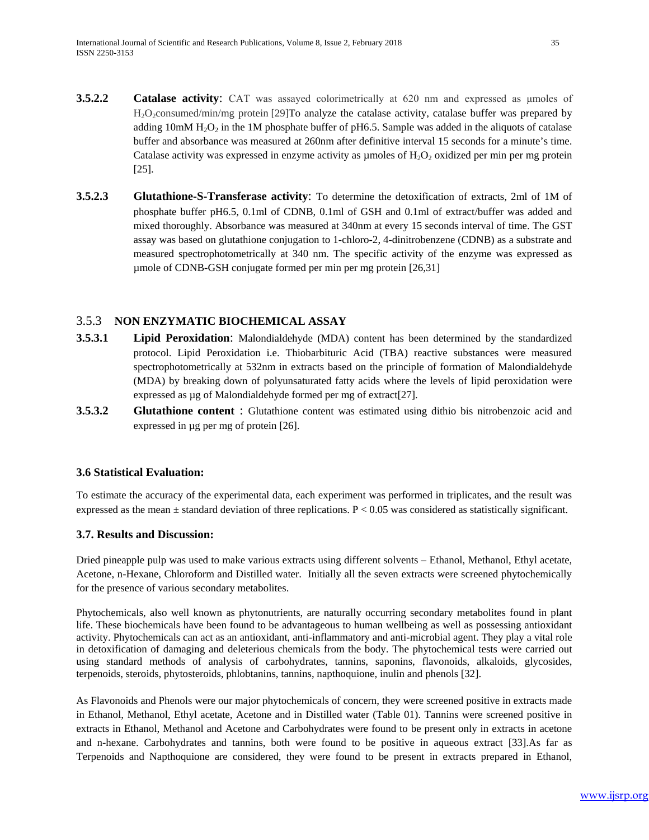- **3.5.2.2 Catalase activity**: CAT was assayed colorimetrically at 620 nm and expressed as umoles of H<sub>2</sub>O<sub>2</sub>consumed/min/mg protein [29]To analyze the catalase activity, catalase buffer was prepared by adding  $10 \text{m} \text{M H}_2\text{O}_2$  in the 1M phosphate buffer of pH6.5. Sample was added in the aliquots of catalase buffer and absorbance was measured at 260nm after definitive interval 15 seconds for a minute's time. Catalase activity was expressed in enzyme activity as  $\mu$  moles of  $H_2O_2$  oxidized per min per mg protein [25].
- **3.5.2.3 Glutathione-S-Transferase activity**: To determine the detoxification of extracts, 2ml of 1M of phosphate buffer pH6.5, 0.1ml of CDNB, 0.1ml of GSH and 0.1ml of extract/buffer was added and mixed thoroughly. Absorbance was measured at 340nm at every 15 seconds interval of time. The GST assay was based on glutathione conjugation to 1-chloro-2, 4-dinitrobenzene (CDNB) as a substrate and measured spectrophotometrically at 340 nm. The specific activity of the enzyme was expressed as µmole of CDNB-GSH conjugate formed per min per mg protein [26,31]

# 3.5.3 **NON ENZYMATIC BIOCHEMICAL ASSAY**

- **3.5.3.1 Lipid Peroxidation**: Malondialdehyde (MDA) content has been determined by the standardized protocol. Lipid Peroxidation i.e. Thiobarbituric Acid (TBA) reactive substances were measured spectrophotometrically at 532nm in extracts based on the principle of formation of Malondialdehyde (MDA) by breaking down of polyunsaturated fatty acids where the levels of lipid peroxidation were expressed as µg of Malondialdehyde formed per mg of extract[27].
- **3.5.3.2 Glutathione content** : Glutathione content was estimated using dithio bis nitrobenzoic acid and expressed in µg per mg of protein [26].

# **3.6 Statistical Evaluation:**

To estimate the accuracy of the experimental data, each experiment was performed in triplicates, and the result was expressed as the mean  $\pm$  standard deviation of three replications. P < 0.05 was considered as statistically significant.

## **3.7. Results and Discussion:**

Dried pineapple pulp was used to make various extracts using different solvents – Ethanol, Methanol, Ethyl acetate, Acetone, n-Hexane, Chloroform and Distilled water. Initially all the seven extracts were screened phytochemically for the presence of various secondary metabolites.

Phytochemicals, also well known as phytonutrients, are naturally occurring secondary metabolites found in plant life. These biochemicals have been found to be advantageous to human wellbeing as well as possessing antioxidant activity. Phytochemicals can act as an antioxidant, anti-inflammatory and anti-microbial agent. They play a vital role in detoxification of damaging and deleterious chemicals from the body. The phytochemical tests were carried out using standard methods of analysis of carbohydrates, tannins, saponins, flavonoids, alkaloids, glycosides, terpenoids, steroids, phytosteroids, phlobtanins, tannins, napthoquione, inulin and phenols [32].

As Flavonoids and Phenols were our major phytochemicals of concern, they were screened positive in extracts made in Ethanol, Methanol, Ethyl acetate, Acetone and in Distilled water (Table 01). Tannins were screened positive in extracts in Ethanol, Methanol and Acetone and Carbohydrates were found to be present only in extracts in acetone and n-hexane. Carbohydrates and tannins, both were found to be positive in aqueous extract [33].As far as Terpenoids and Napthoquione are considered, they were found to be present in extracts prepared in Ethanol,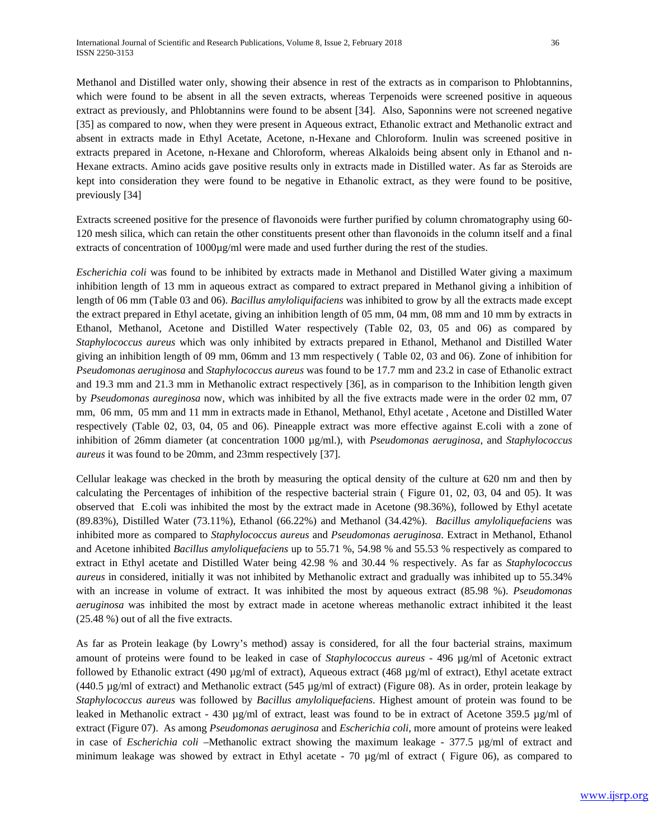Methanol and Distilled water only, showing their absence in rest of the extracts as in comparison to Phlobtannins, which were found to be absent in all the seven extracts, whereas Terpenoids were screened positive in aqueous extract as previously, and Phlobtannins were found to be absent [34]. Also, Saponnins were not screened negative [35] as compared to now, when they were present in Aqueous extract, Ethanolic extract and Methanolic extract and absent in extracts made in Ethyl Acetate, Acetone, n-Hexane and Chloroform. Inulin was screened positive in extracts prepared in Acetone, n-Hexane and Chloroform, whereas Alkaloids being absent only in Ethanol and n-Hexane extracts. Amino acids gave positive results only in extracts made in Distilled water. As far as Steroids are kept into consideration they were found to be negative in Ethanolic extract, as they were found to be positive, previously [34]

Extracts screened positive for the presence of flavonoids were further purified by column chromatography using 60- 120 mesh silica, which can retain the other constituents present other than flavonoids in the column itself and a final extracts of concentration of  $1000\mu\text{g/ml}$  were made and used further during the rest of the studies.

*Escherichia coli* was found to be inhibited by extracts made in Methanol and Distilled Water giving a maximum inhibition length of 13 mm in aqueous extract as compared to extract prepared in Methanol giving a inhibition of length of 06 mm (Table 03 and 06). *Bacillus amyloliquifaciens* was inhibited to grow by all the extracts made except the extract prepared in Ethyl acetate, giving an inhibition length of 05 mm, 04 mm, 08 mm and 10 mm by extracts in Ethanol, Methanol, Acetone and Distilled Water respectively (Table 02, 03, 05 and 06) as compared by *Staphylococcus aureus* which was only inhibited by extracts prepared in Ethanol, Methanol and Distilled Water giving an inhibition length of 09 mm, 06mm and 13 mm respectively ( Table 02, 03 and 06). Zone of inhibition for *Pseudomonas aeruginosa* and *Staphylococcus aureus* was found to be 17.7 mm and 23.2 in case of Ethanolic extract and 19.3 mm and 21.3 mm in Methanolic extract respectively [36], as in comparison to the Inhibition length given by *Pseudomonas aureginosa* now, which was inhibited by all the five extracts made were in the order 02 mm, 07 mm, 06 mm, 05 mm and 11 mm in extracts made in Ethanol, Methanol, Ethyl acetate , Acetone and Distilled Water respectively (Table 02, 03, 04, 05 and 06). Pineapple extract was more effective against E.coli with a zone of inhibition of 26mm diameter (at concentration 1000 µg/ml.), with *Pseudomonas aeruginosa*, and *Staphylococcus aureus* it was found to be 20mm, and 23mm respectively [37].

Cellular leakage was checked in the broth by measuring the optical density of the culture at 620 nm and then by calculating the Percentages of inhibition of the respective bacterial strain ( Figure 01, 02, 03, 04 and 05). It was observed that E.coli was inhibited the most by the extract made in Acetone (98.36%), followed by Ethyl acetate (89.83%), Distilled Water (73.11%), Ethanol (66.22%) and Methanol (34.42%). *Bacillus amyloliquefaciens* was inhibited more as compared to *Staphylococcus aureus* and *Pseudomonas aeruginosa*. Extract in Methanol, Ethanol and Acetone inhibited *Bacillus amyloliquefaciens* up to 55.71 %, 54.98 % and 55.53 % respectively as compared to extract in Ethyl acetate and Distilled Water being 42.98 % and 30.44 % respectively. As far as *Staphylococcus aureus* in considered, initially it was not inhibited by Methanolic extract and gradually was inhibited up to 55.34% with an increase in volume of extract. It was inhibited the most by aqueous extract (85.98 %). *Pseudomonas aeruginosa* was inhibited the most by extract made in acetone whereas methanolic extract inhibited it the least (25.48 %) out of all the five extracts.

As far as Protein leakage (by Lowry's method) assay is considered, for all the four bacterial strains, maximum amount of proteins were found to be leaked in case of *Staphylococcus aureus* - 496 µg/ml of Acetonic extract followed by Ethanolic extract (490  $\mu$ g/ml of extract), Aqueous extract (468  $\mu$ g/ml of extract), Ethyl acetate extract  $(440.5 \text{ µg/ml of extract})$  and Methanolic extract  $(545 \text{ µg/ml of extract})$  (Figure 08). As in order, protein leakage by *Staphylococcus aureus* was followed by *Bacillus amyloliquefaciens*. Highest amount of protein was found to be leaked in Methanolic extract - 430 µg/ml of extract, least was found to be in extract of Acetone 359.5 µg/ml of extract (Figure 07). As among *Pseudomonas aeruginosa* and *Escherichia coli*, more amount of proteins were leaked in case of *Escherichia coli* –Methanolic extract showing the maximum leakage - 377.5 µg/ml of extract and minimum leakage was showed by extract in Ethyl acetate - 70  $\mu$ g/ml of extract (Figure 06), as compared to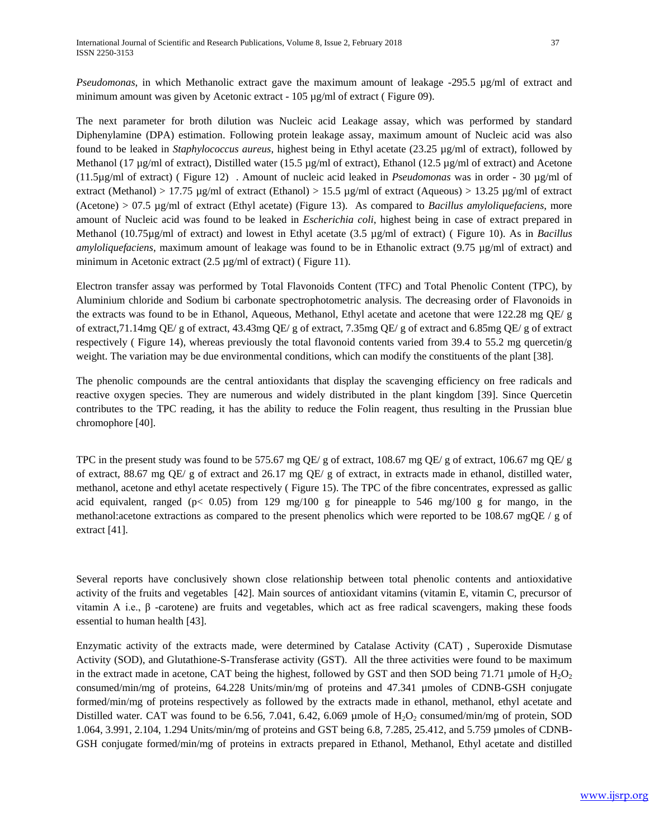*Pseudomonas*, in which Methanolic extract gave the maximum amount of leakage -295.5 µg/ml of extract and minimum amount was given by Acetonic extract - 105 µg/ml of extract (Figure 09).

The next parameter for broth dilution was Nucleic acid Leakage assay, which was performed by standard Diphenylamine (DPA) estimation. Following protein leakage assay, maximum amount of Nucleic acid was also found to be leaked in *Staphylococcus aureus*, highest being in Ethyl acetate (23.25 µg/ml of extract), followed by Methanol (17 µg/ml of extract), Distilled water (15.5 µg/ml of extract), Ethanol (12.5 µg/ml of extract) and Acetone (11.5µg/ml of extract) ( Figure 12) . Amount of nucleic acid leaked in *Pseudomonas* was in order - 30 µg/ml of extract (Methanol) > 17.75 µg/ml of extract (Ethanol) > 15.5 µg/ml of extract (Aqueous) > 13.25 µg/ml of extract (Acetone) > 07.5 µg/ml of extract (Ethyl acetate) (Figure 13). As compared to *Bacillus amyloliquefaciens*, more amount of Nucleic acid was found to be leaked in *Escherichia coli*, highest being in case of extract prepared in Methanol (10.75µg/ml of extract) and lowest in Ethyl acetate (3.5 µg/ml of extract) ( Figure 10). As in *Bacillus amyloliquefaciens*, maximum amount of leakage was found to be in Ethanolic extract (9.75 µg/ml of extract) and minimum in Acetonic extract (2.5 µg/ml of extract) (Figure 11).

Electron transfer assay was performed by Total Flavonoids Content (TFC) and Total Phenolic Content (TPC), by Aluminium chloride and Sodium bi carbonate spectrophotometric analysis. The decreasing order of Flavonoids in the extracts was found to be in Ethanol, Aqueous, Methanol, Ethyl acetate and acetone that were 122.28 mg QE/ g of extract,71.14mg QE/ g of extract, 43.43mg QE/ g of extract, 7.35mg QE/ g of extract and 6.85mg QE/ g of extract respectively ( Figure 14), whereas previously the total flavonoid contents varied from 39.4 to 55.2 mg quercetin/g weight. The variation may be due environmental conditions, which can modify the constituents of the plant [38].

The phenolic compounds are the central antioxidants that display the scavenging efficiency on free radicals and reactive oxygen species. They are numerous and widely distributed in the plant kingdom [39]. Since Quercetin contributes to the TPC reading, it has the ability to reduce the Folin reagent, thus resulting in the Prussian blue chromophore [40].

TPC in the present study was found to be 575.67 mg QE/ g of extract, 108.67 mg QE/ g of extract, 106.67 mg QE/ g of extract, 88.67 mg QE/ g of extract and 26.17 mg QE/ g of extract, in extracts made in ethanol, distilled water, methanol, acetone and ethyl acetate respectively ( Figure 15). The TPC of the fibre concentrates, expressed as gallic acid equivalent, ranged ( $p < 0.05$ ) from 129 mg/100 g for pineapple to 546 mg/100 g for mango, in the methanol:acetone extractions as compared to the present phenolics which were reported to be 108.67 mgQE / g of extract [41].

Several reports have conclusively shown close relationship between total phenolic contents and antioxidative activity of the fruits and vegetables [42]. Main sources of antioxidant vitamins (vitamin E, vitamin C, precursor of vitamin A i.e.,  $β$  -carotene) are fruits and vegetables, which act as free radical scavengers, making these foods essential to human health [43].

Enzymatic activity of the extracts made, were determined by Catalase Activity (CAT) , Superoxide Dismutase Activity (SOD), and Glutathione-S-Transferase activity (GST). All the three activities were found to be maximum in the extract made in acetone, CAT being the highest, followed by GST and then SOD being 71.71 µmole of  $H_2O_2$ consumed/min/mg of proteins, 64.228 Units/min/mg of proteins and 47.341 µmoles of CDNB-GSH conjugate formed/min/mg of proteins respectively as followed by the extracts made in ethanol, methanol, ethyl acetate and Distilled water. CAT was found to be 6.56, 7.041, 6.42, 6.069 µmole of  $H_2O_2$  consumed/min/mg of protein, SOD 1.064, 3.991, 2.104, 1.294 Units/min/mg of proteins and GST being 6.8, 7.285, 25.412, and 5.759 µmoles of CDNB-GSH conjugate formed/min/mg of proteins in extracts prepared in Ethanol, Methanol, Ethyl acetate and distilled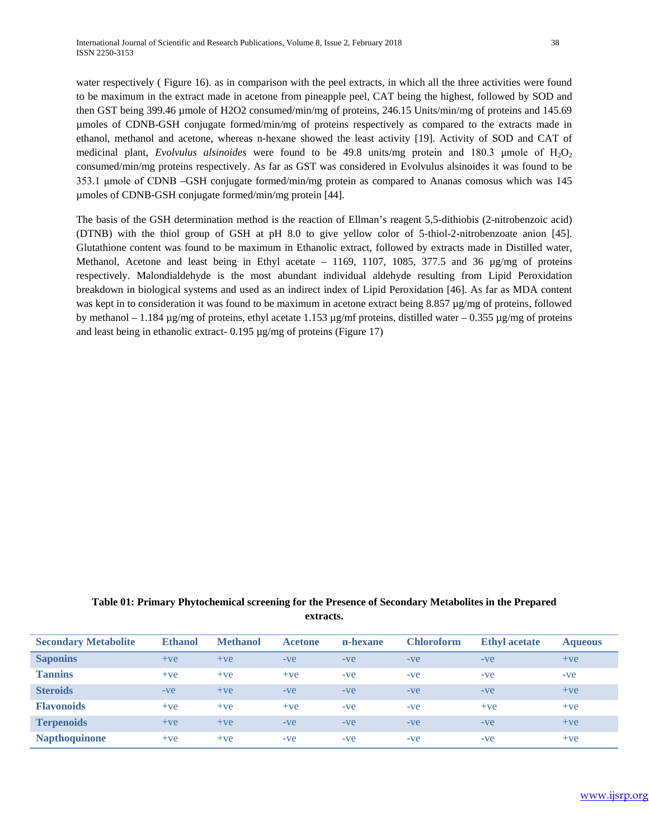water respectively (Figure 16). as in comparison with the peel extracts, in which all the three activities were found to be maximum in the extract made in acetone from pineapple peel, CAT being the highest, followed by SOD and then GST being 399.46 µmole of H2O2 consumed/min/mg of proteins, 246.15 Units/min/mg of proteins and 145.69 µmoles of CDNB-GSH conjugate formed/min/mg of proteins respectively as compared to the extracts made in ethanol, methanol and acetone, whereas n-hexane showed the least activity [19]. Activity of SOD and CAT of medicinal plant, *Evolvulus alsinoides* were found to be 49.8 units/mg protein and 180.3 μmole of H<sub>2</sub>O<sub>2</sub> consumed/min/mg proteins respectively. As far as GST was considered in Evolvulus alsinoides it was found to be 353.1 μmole of CDNB –GSH conjugate formed/min/mg protein as compared to Ananas comosus which was 145 µmoles of CDNB-GSH conjugate formed/min/mg protein [44].

The basis of the GSH determination method is the reaction of Ellman's reagent 5,5-dithiobis (2-nitrobenzoic acid) (DTNB) with the thiol group of GSH at pH 8.0 to give yellow color of 5-thiol-2-nitrobenzoate anion [45]. Glutathione content was found to be maximum in Ethanolic extract, followed by extracts made in Distilled water, Methanol, Acetone and least being in Ethyl acetate – 1169, 1107, 1085, 377.5 and 36 µg/mg of proteins respectively. Malondialdehyde is the most abundant individual aldehyde resulting from Lipid Peroxidation breakdown in biological systems and used as an indirect index of Lipid Peroxidation [46]. As far as MDA content was kept in to consideration it was found to be maximum in acetone extract being 8.857 µg/mg of proteins, followed by methanol – 1.184  $\mu$ g/mg of proteins, ethyl acetate 1.153  $\mu$ g/mf proteins, distilled water – 0.355  $\mu$ g/mg of proteins and least being in ethanolic extract- 0.195 µg/mg of proteins (Figure 17)

# **Table 01: Primary Phytochemical screening for the Presence of Secondary Metabolites in the Prepared extracts.**

| <b>Secondary Metabolite</b> | <b>Ethanol</b> | <b>Methanol</b> | <b>Acetone</b> | n-hexane | <b>Chloroform</b> | <b>Ethyl</b> acetate | <b>Aqueous</b> |
|-----------------------------|----------------|-----------------|----------------|----------|-------------------|----------------------|----------------|
| <b>Saponins</b>             | $+ve$          | $+ve$           | $-ve$          | $-ve$    | $-ve$             | $-ve$                | $+ve$          |
| <b>Tannins</b>              | $+ve$          | $+ve$           | $+ve$          | $-ve$    | $-ve$             | $-ve$                | $-ve$          |
| <b>Steroids</b>             | $-ve$          | $+ve$           | $-ve$          | $-ve$    | $-ve$             | $-ve$                | $+ve$          |
| <b>Flavonoids</b>           | $+ve$          | $+ve$           | $+ve$          | $-ve$    | $-ve$             | $+ve$                | $+ve$          |
| <b>Terpenoids</b>           | $+ve$          | $+ve$           | $-ve$          | $-ve$    | $-ve$             | $-ve$                | $+ve$          |
| <b>Napthoquinone</b>        | $+ve$          | $+ve$           | $-ve$          | $-ve$    | $-ve$             | $-ve$                | $+ve$          |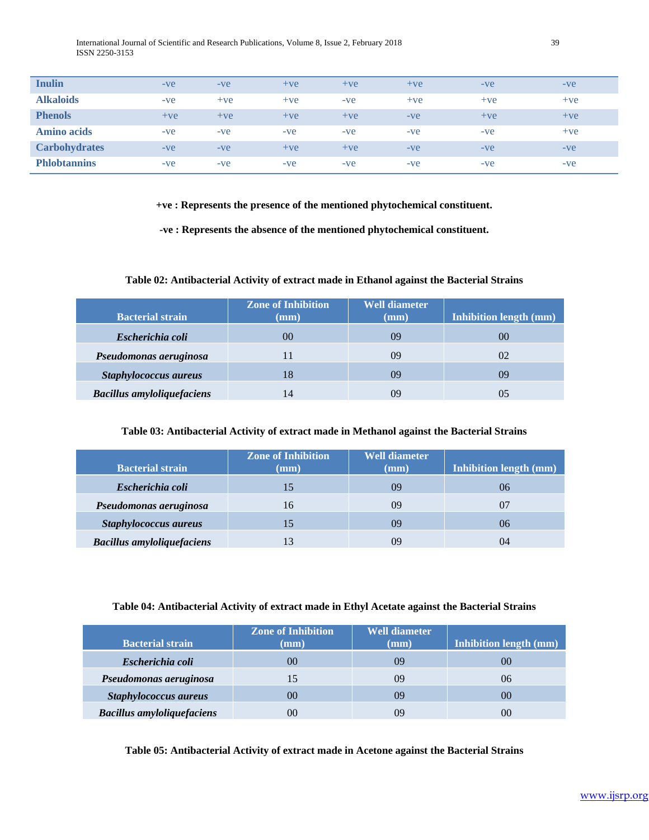International Journal of Scientific and Research Publications, Volume 8, Issue 2, February 2018 39 ISSN 2250-3153

| <b>Inulin</b>        | $-ve$ | $-ve$ | $+ve$ | $+ve$ | $+ve$ | $-ve$ | $-ve$ |
|----------------------|-------|-------|-------|-------|-------|-------|-------|
| <b>Alkaloids</b>     | $-ve$ | $+ve$ | $+ve$ | $-ve$ | $+ve$ | $+ve$ | $+ve$ |
| <b>Phenols</b>       | $+ve$ | $+ve$ | $+ve$ | $+ve$ | $-ve$ | $+ve$ | $+ve$ |
| <b>Amino acids</b>   | $-ve$ | $-ve$ | $-ve$ | $-ve$ | $-ve$ | $-ve$ | $+ve$ |
| <b>Carbohydrates</b> | $-ve$ | $-ve$ | $+ve$ | $+ve$ | $-ve$ | $-ve$ | $-ve$ |
| <b>Phlobtannins</b>  | $-ve$ | $-ve$ | $-ve$ | $-ve$ | $-ve$ | $-ve$ | $-ve$ |

**+ve : Represents the presence of the mentioned phytochemical constituent.**

**-ve : Represents the absence of the mentioned phytochemical constituent.**

#### **Table 02: Antibacterial Activity of extract made in Ethanol against the Bacterial Strains**

| <b>Bacterial strain</b>           | <b>Zone of Inhibition</b><br>$(\mathbf{mm})$ | <b>Well diameter</b><br>$(\mathbf{mm})$ | <b>Inhibition length (mm)</b> |
|-----------------------------------|----------------------------------------------|-----------------------------------------|-------------------------------|
| Escherichia coli                  | 00                                           | 09                                      | 00                            |
| Pseudomonas aeruginosa            |                                              | 09                                      | 02                            |
| Staphylococcus aureus             | 18                                           | 09                                      | 09                            |
| <b>Bacillus amyloliquefaciens</b> | 14                                           | ΩQ                                      |                               |

#### **Table 03: Antibacterial Activity of extract made in Methanol against the Bacterial Strains**

| <b>Bacterial strain</b>           | <b>Zone of Inhibition</b><br>$(\mathbf{mm})$ | <b>Well diameter</b><br>$(\mathbf{mm})$ | <b>Inhibition length (mm)</b> |
|-----------------------------------|----------------------------------------------|-----------------------------------------|-------------------------------|
| Escherichia coli                  | 15                                           | 09                                      | 06                            |
| Pseudomonas aeruginosa            | 16                                           | 09                                      | 07                            |
| Staphylococcus aureus             | 15                                           | 09                                      | 06                            |
| <b>Bacillus amyloliquefaciens</b> |                                              | 09                                      | 04                            |

#### **Table 04: Antibacterial Activity of extract made in Ethyl Acetate against the Bacterial Strains**

| <b>Bacterial strain</b>           | <b>Zone of Inhibition</b><br>$(\mathbf{mm})$ | <b>Well diameter</b><br>$(\mathbf{mm})$ | Inhibition length (mm) |
|-----------------------------------|----------------------------------------------|-----------------------------------------|------------------------|
| Escherichia coli                  | 00                                           | 09                                      | $00\,$                 |
| Pseudomonas aeruginosa            | 15                                           | 09                                      | 06                     |
| Staphylococcus aureus             | 00                                           | 09                                      | 00                     |
| <b>Bacillus amyloliquefaciens</b> | 00                                           | 09                                      | 00                     |

**Table 05: Antibacterial Activity of extract made in Acetone against the Bacterial Strains**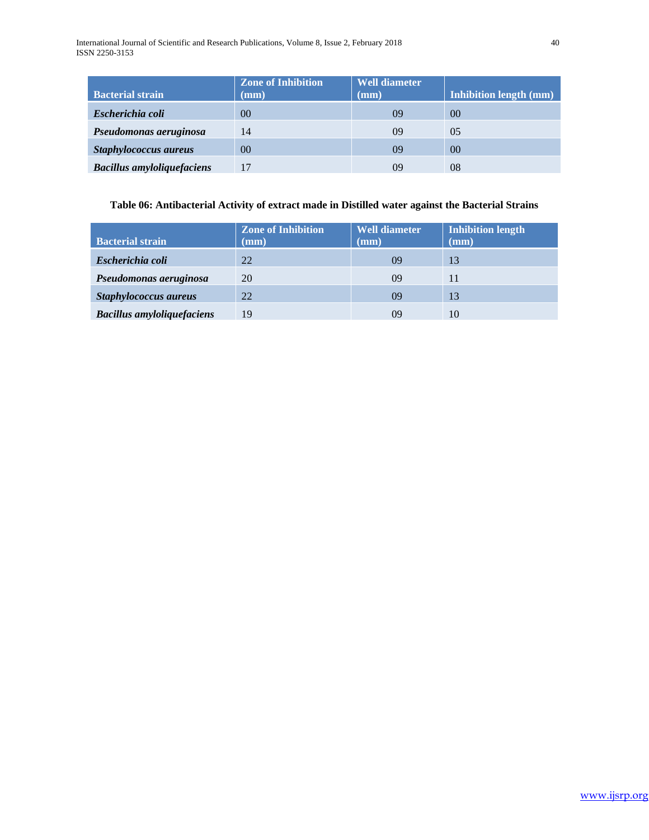International Journal of Scientific and Research Publications, Volume 8, Issue 2, February 2018 40 ISSN 2250-3153

| <b>Bacterial strain</b>           | <b>Zone of Inhibition</b><br>$(\mathbf{mm})$ | <b>Well diameter</b><br>$(\mathbf{mm})$ | <b>Inhibition length (mm)</b> |
|-----------------------------------|----------------------------------------------|-----------------------------------------|-------------------------------|
| Escherichia coli                  | 00                                           | 09                                      | 0 <sup>0</sup>                |
| Pseudomonas aeruginosa            | 14                                           | 09                                      | 0 <sub>5</sub>                |
| Staphylococcus aureus             | 0 <sup>0</sup>                               | 09                                      | 0 <sup>0</sup>                |
| <b>Bacillus amyloliquefaciens</b> |                                              | 09                                      | 08                            |

# **Table 06: Antibacterial Activity of extract made in Distilled water against the Bacterial Strains**

| <b>Bacterial strain</b>           | <b>Zone of Inhibition</b><br>$(\mathbf{mm})$ | <b>Well diameter</b><br>$(\mathbf{mm})$ | Inhibition length<br>(mm) |
|-----------------------------------|----------------------------------------------|-----------------------------------------|---------------------------|
| Escherichia coli                  | 22                                           | 09                                      | 13                        |
| Pseudomonas aeruginosa            | 20                                           | 09                                      | 11                        |
| Staphylococcus aureus             | 22                                           | 09                                      | 13                        |
| <b>Bacillus amyloliquefaciens</b> | 19                                           | 09                                      | 10                        |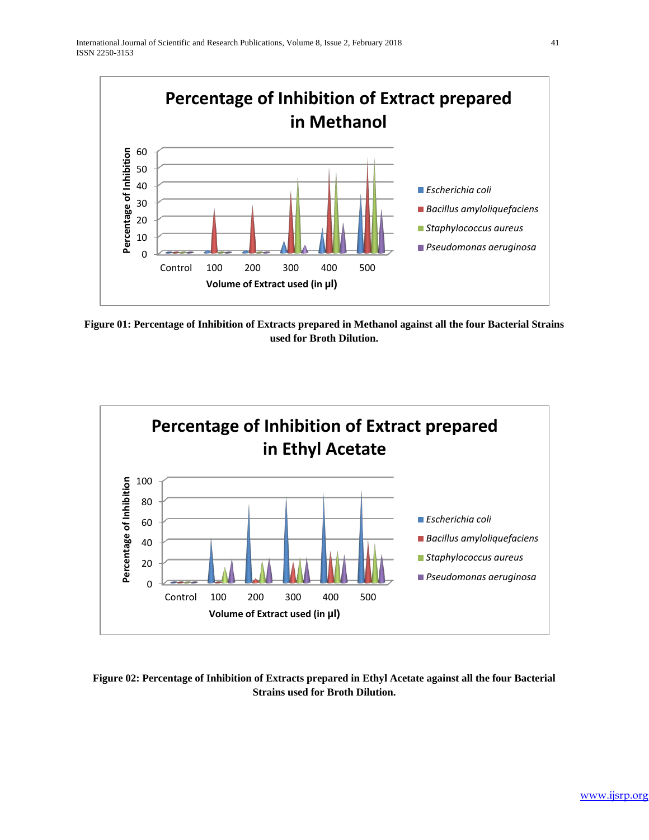

**Figure 01: Percentage of Inhibition of Extracts prepared in Methanol against all the four Bacterial Strains used for Broth Dilution.**



# **Figure 02: Percentage of Inhibition of Extracts prepared in Ethyl Acetate against all the four Bacterial Strains used for Broth Dilution.**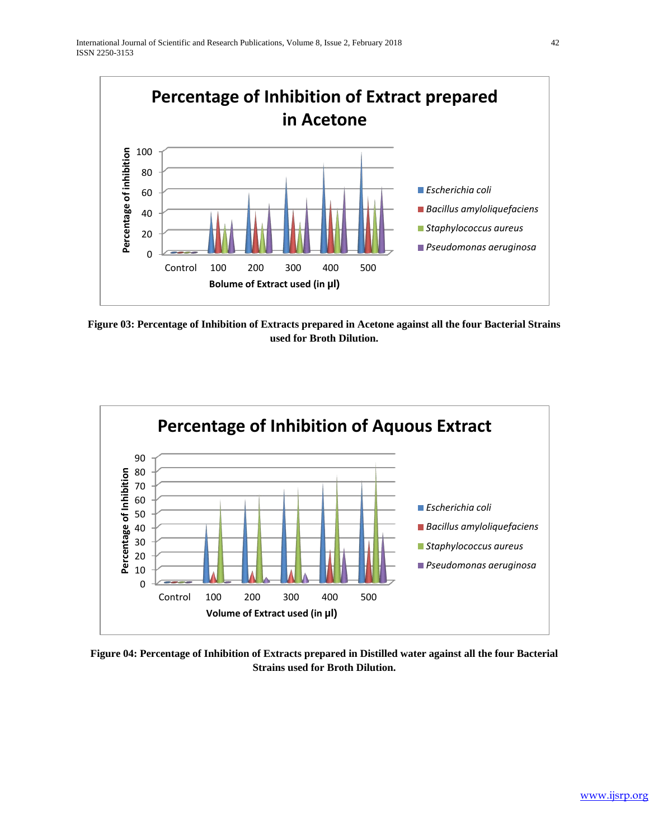

**Figure 03: Percentage of Inhibition of Extracts prepared in Acetone against all the four Bacterial Strains used for Broth Dilution.**



**Figure 04: Percentage of Inhibition of Extracts prepared in Distilled water against all the four Bacterial Strains used for Broth Dilution.**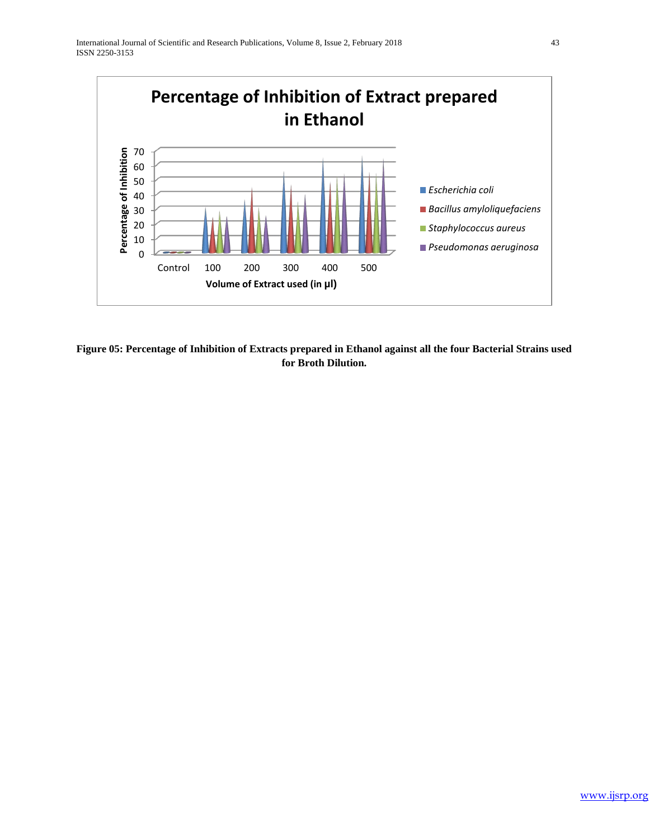

**Figure 05: Percentage of Inhibition of Extracts prepared in Ethanol against all the four Bacterial Strains used for Broth Dilution.**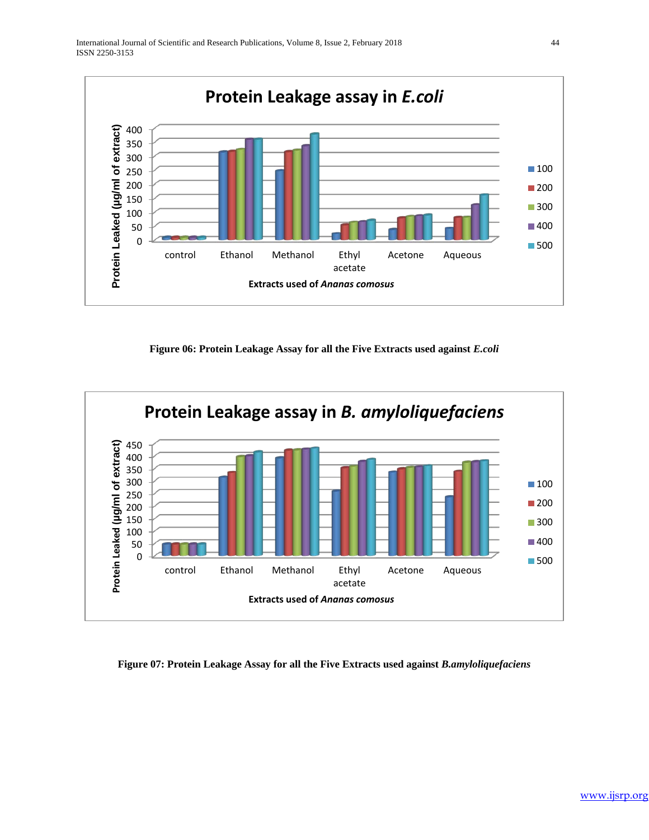

**Figure 06: Protein Leakage Assay for all the Five Extracts used against** *E.coli*



#### **Figure 07: Protein Leakage Assay for all the Five Extracts used against** *B.amyloliquefaciens*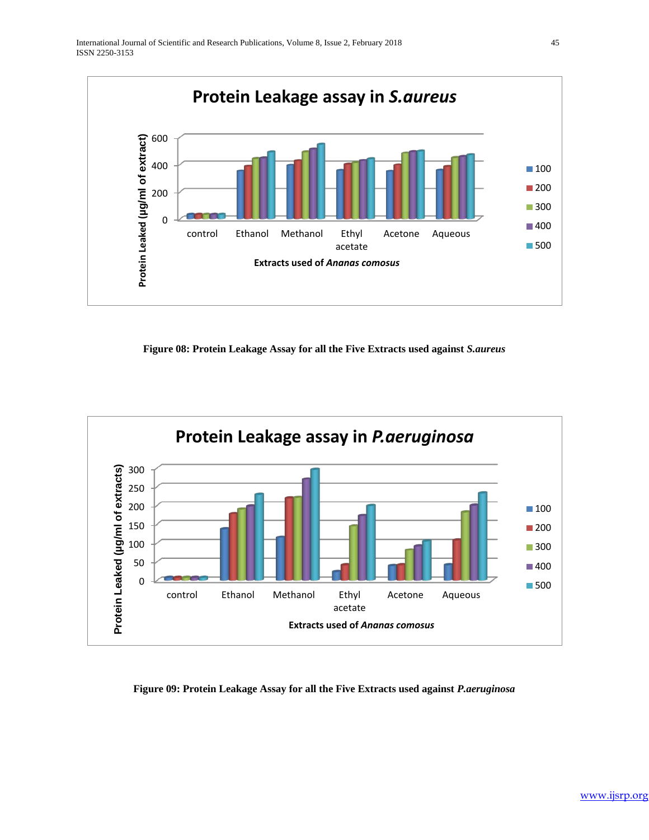

**Figure 08: Protein Leakage Assay for all the Five Extracts used against** *S.aureus*



## **Figure 09: Protein Leakage Assay for all the Five Extracts used against** *P.aeruginosa*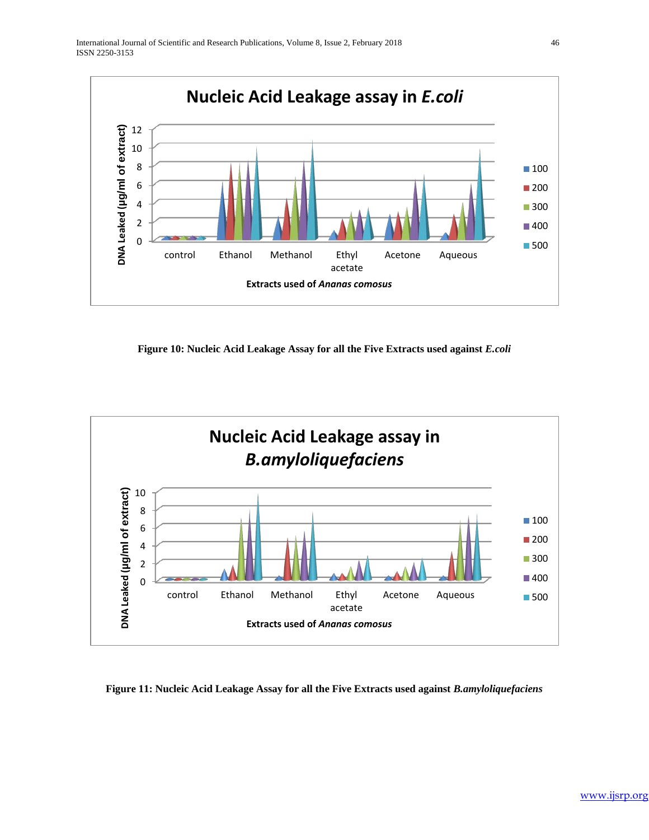

**Figure 10: Nucleic Acid Leakage Assay for all the Five Extracts used against** *E.coli*



## **Figure 11: Nucleic Acid Leakage Assay for all the Five Extracts used against** *B.amyloliquefaciens*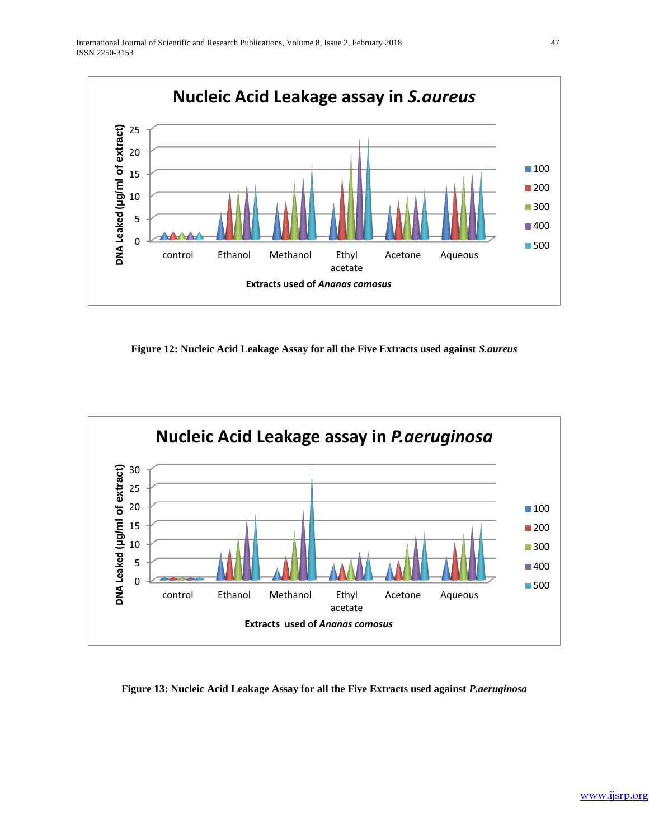

**Figure 12: Nucleic Acid Leakage Assay for all the Five Extracts used against** *S.aureus*



## **Figure 13: Nucleic Acid Leakage Assay for all the Five Extracts used against** *P.aeruginosa*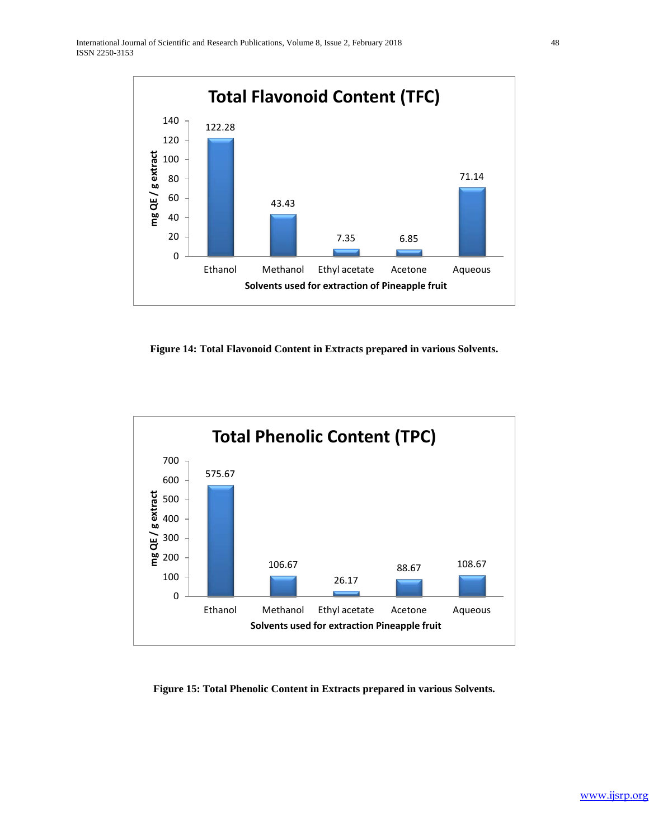

**Figure 14: Total Flavonoid Content in Extracts prepared in various Solvents.**



**Figure 15: Total Phenolic Content in Extracts prepared in various Solvents.**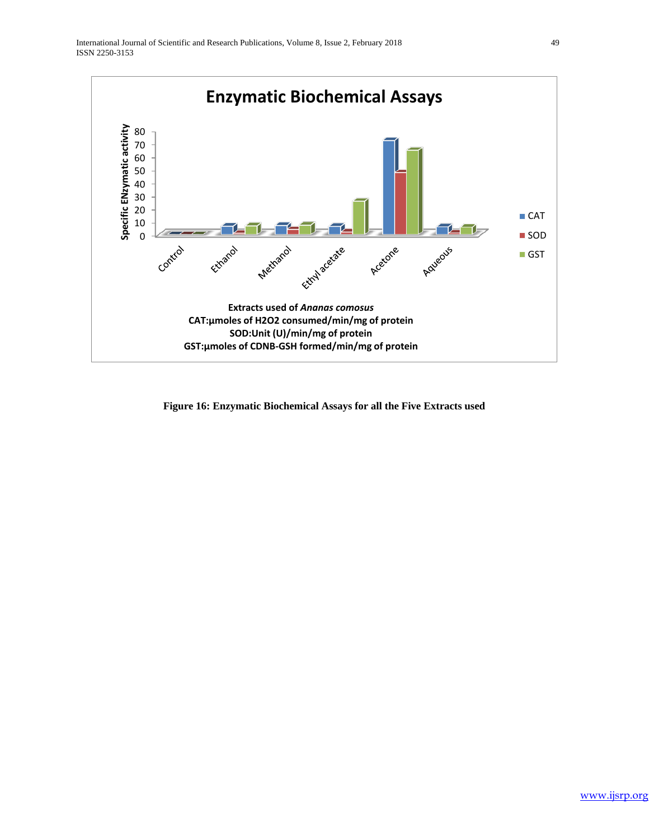

**Figure 16: Enzymatic Biochemical Assays for all the Five Extracts used**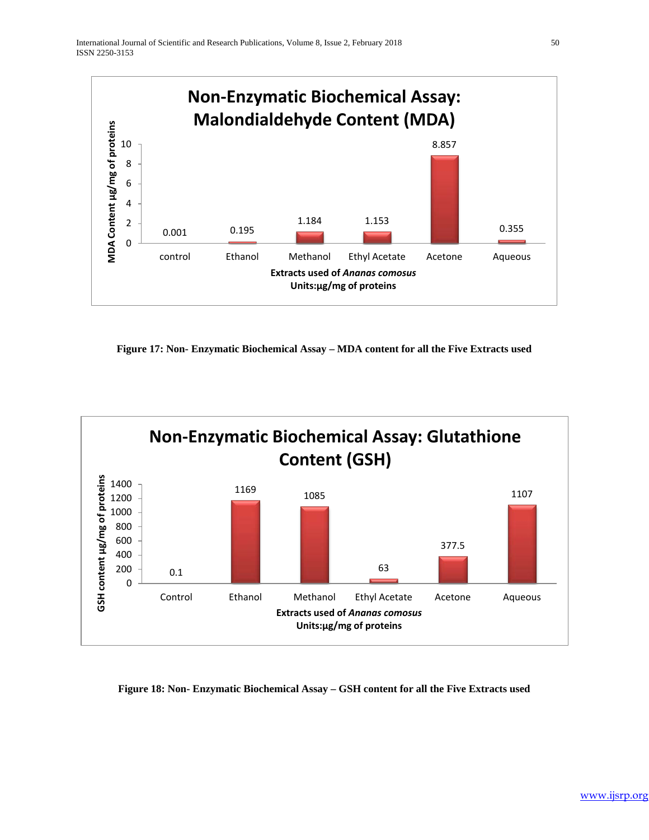

**Figure 17: Non- Enzymatic Biochemical Assay – MDA content for all the Five Extracts used**



## **Figure 18: Non- Enzymatic Biochemical Assay – GSH content for all the Five Extracts used**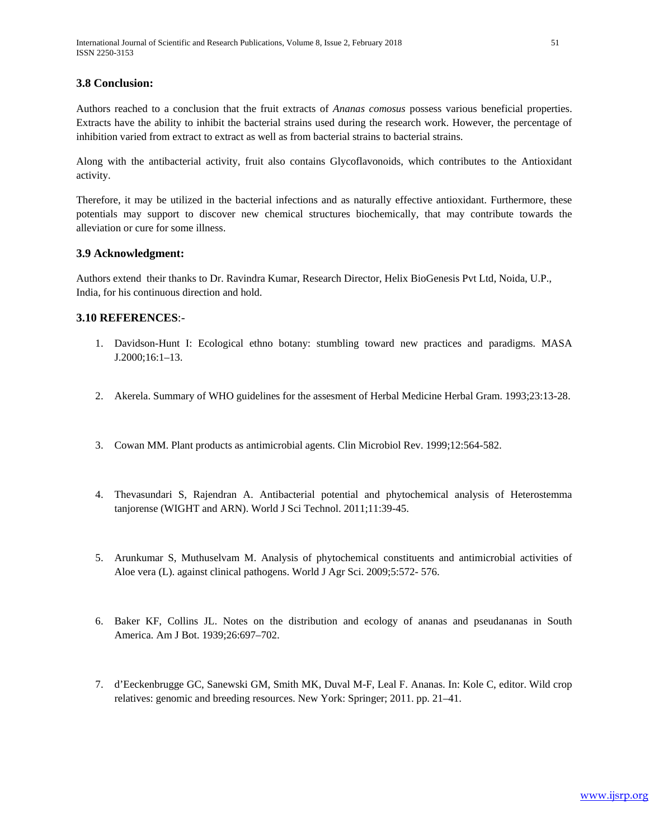#### **3.8 Conclusion:**

Authors reached to a conclusion that the fruit extracts of *Ananas comosus* possess various beneficial properties. Extracts have the ability to inhibit the bacterial strains used during the research work. However, the percentage of inhibition varied from extract to extract as well as from bacterial strains to bacterial strains.

Along with the antibacterial activity, fruit also contains Glycoflavonoids, which contributes to the Antioxidant activity.

Therefore, it may be utilized in the bacterial infections and as naturally effective antioxidant. Furthermore, these potentials may support to discover new chemical structures biochemically, that may contribute towards the alleviation or cure for some illness.

#### **3.9 Acknowledgment:**

Authors extend their thanks to Dr. Ravindra Kumar, Research Director, Helix BioGenesis Pvt Ltd, Noida, U.P., India, for his continuous direction and hold.

## **3.10 REFERENCES**:-

- 1. Davidson-Hunt I: Ecological ethno botany: stumbling toward new practices and paradigms. MASA J.2000;16:1–13.
- 2. Akerela. Summary of WHO guidelines for the assesment of Herbal Medicine Herbal Gram. 1993;23:13-28.
- 3. Cowan MM. Plant products as antimicrobial agents. Clin Microbiol Rev. 1999;12:564-582.
- 4. Thevasundari S, Rajendran A. Antibacterial potential and phytochemical analysis of Heterostemma tanjorense (WIGHT and ARN). World J Sci Technol. 2011;11:39-45.
- 5. Arunkumar S, Muthuselvam M. Analysis of phytochemical constituents and antimicrobial activities of Aloe vera (L). against clinical pathogens. World J Agr Sci. 2009;5:572- 576.
- 6. Baker KF, Collins JL. Notes on the distribution and ecology of ananas and pseudananas in South America. Am J Bot. 1939;26:697–702.
- 7. d'Eeckenbrugge GC, Sanewski GM, Smith MK, Duval M-F, Leal F. Ananas. In: Kole C, editor. Wild crop relatives: genomic and breeding resources. New York: Springer; 2011. pp. 21–41.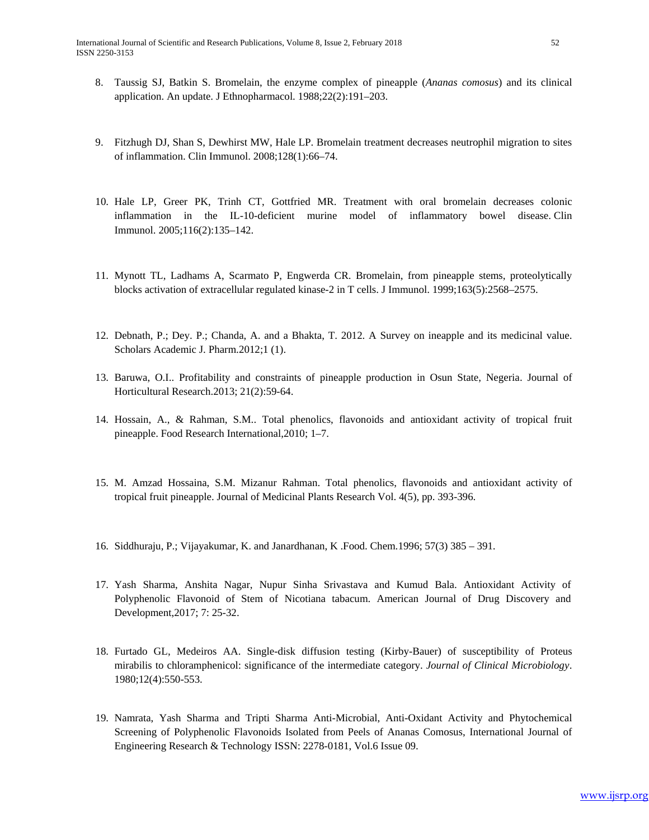- 8. Taussig SJ, Batkin S. Bromelain, the enzyme complex of pineapple (*Ananas comosus*) and its clinical application. An update. J Ethnopharmacol. 1988;22(2):191–203.
- 9. Fitzhugh DJ, Shan S, Dewhirst MW, Hale LP. Bromelain treatment decreases neutrophil migration to sites of inflammation. Clin Immunol. 2008;128(1):66–74.
- 10. Hale LP, Greer PK, Trinh CT, Gottfried MR. Treatment with oral bromelain decreases colonic inflammation in the IL-10-deficient murine model of inflammatory bowel disease. Clin Immunol. 2005;116(2):135–142.
- 11. Mynott TL, Ladhams A, Scarmato P, Engwerda CR. Bromelain, from pineapple stems, proteolytically blocks activation of extracellular regulated kinase-2 in T cells. J Immunol. 1999;163(5):2568–2575.
- 12. Debnath, P.; Dey. P.; Chanda, A. and a Bhakta, T. 2012. A Survey on ineapple and its medicinal value. Scholars Academic J. Pharm.2012;1 (1).
- 13. Baruwa, O.I.. Profitability and constraints of pineapple production in Osun State, Negeria. Journal of Horticultural Research.2013; 21(2):59-64.
- 14. Hossain, A., & Rahman, S.M.. Total phenolics, flavonoids and antioxidant activity of tropical fruit pineapple. Food Research International,2010; 1–7.
- 15. M. Amzad Hossaina, S.M. Mizanur Rahman. Total phenolics, flavonoids and antioxidant activity of tropical fruit pineapple. Journal of Medicinal Plants Research Vol. 4(5), pp. 393-396.
- 16. Siddhuraju, P.; Vijayakumar, K. and Janardhanan, K .Food. Chem.1996; 57(3) 385 391.
- 17. Yash Sharma, Anshita Nagar, Nupur Sinha Srivastava and Kumud Bala. Antioxidant Activity of Polyphenolic Flavonoid of Stem of Nicotiana tabacum. American Journal of Drug Discovery and Development,2017; 7: 25-32.
- 18. Furtado GL, Medeiros AA. Single-disk diffusion testing (Kirby-Bauer) of susceptibility of Proteus mirabilis to chloramphenicol: significance of the intermediate category. *Journal of Clinical Microbiology*. 1980;12(4):550-553.
- 19. Namrata, Yash Sharma and Tripti Sharma Anti-Microbial, Anti-Oxidant Activity and Phytochemical Screening of Polyphenolic Flavonoids Isolated from Peels of Ananas Comosus, International Journal of Engineering Research & Technology ISSN: 2278-0181, Vol.6 Issue 09.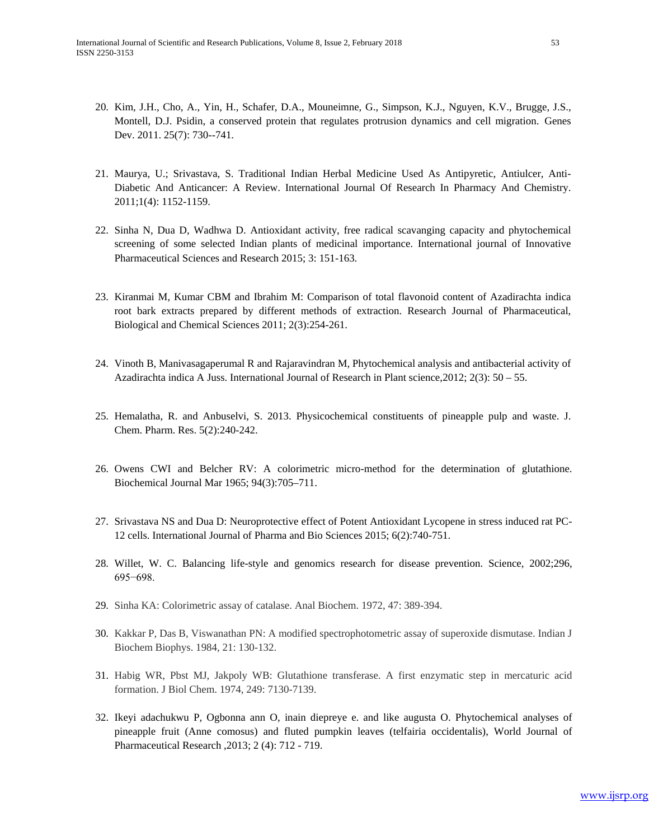- 20. Kim, J.H., Cho, A., Yin, H., Schafer, D.A., Mouneimne, G., Simpson, K.J., Nguyen, K.V., Brugge, J.S., Montell, D.J. Psidin, a conserved protein that regulates protrusion dynamics and cell migration. [Genes](http://dx.doi.org/10.1101/gad.2028611)  Dev. [2011. 25\(7\): 730--741.](http://dx.doi.org/10.1101/gad.2028611)
- 21. Maurya, U.; Srivastava, S. Traditional Indian Herbal Medicine Used As Antipyretic, Antiulcer, Anti-Diabetic And Anticancer: A Review. International Journal Of Research In Pharmacy And Chemistry. 2011;1(4): 1152-1159.
- 22. Sinha N, Dua D, Wadhwa D. Antioxidant activity, free radical scavanging capacity and phytochemical screening of some selected Indian plants of medicinal importance. International journal of Innovative Pharmaceutical Sciences and Research 2015; 3: 151-163.
- 23. Kiranmai M, Kumar CBM and Ibrahim M: Comparison of total flavonoid content of Azadirachta indica root bark extracts prepared by different methods of extraction. Research Journal of Pharmaceutical, Biological and Chemical Sciences 2011; 2(3):254-261.
- 24. Vinoth B, Manivasagaperumal R and Rajaravindran M, Phytochemical analysis and antibacterial activity of Azadirachta indica A Juss. International Journal of Research in Plant science,2012; 2(3): 50 – 55.
- 25. Hemalatha, R. and Anbuselvi, S. 2013. Physicochemical constituents of pineapple pulp and waste. J. Chem. Pharm. Res. 5(2):240-242.
- 26. Owens CWI and Belcher RV: A colorimetric micro-method for the determination of glutathione. Biochemical Journal Mar 1965; 94(3):705–711.
- 27. Srivastava NS and Dua D: Neuroprotective effect of Potent Antioxidant Lycopene in stress induced rat PC-12 cells. International Journal of Pharma and Bio Sciences 2015; 6(2):740-751.
- 28. Willet, W. C. Balancing life-style and genomics research for disease prevention. Science, 2002;296, 695−698.
- 29. Sinha KA: Colorimetric assay of catalase. Anal Biochem. 1972, 47: 389-394.
- 30. Kakkar P, Das B, Viswanathan PN: A modified spectrophotometric assay of superoxide dismutase. Indian J Biochem Biophys. 1984, 21: 130-132.
- 31. Habig WR, Pbst MJ, Jakpoly WB: Glutathione transferase. A first enzymatic step in mercaturic acid formation. J Biol Chem. 1974, 249: 7130-7139.
- 32. Ikeyi adachukwu P, Ogbonna ann O, inain diepreye e. and like augusta O. Phytochemical analyses of pineapple fruit (Anne comosus) and fluted pumpkin leaves (telfairia occidentalis), World Journal of Pharmaceutical Research ,2013; 2 (4): 712 - 719.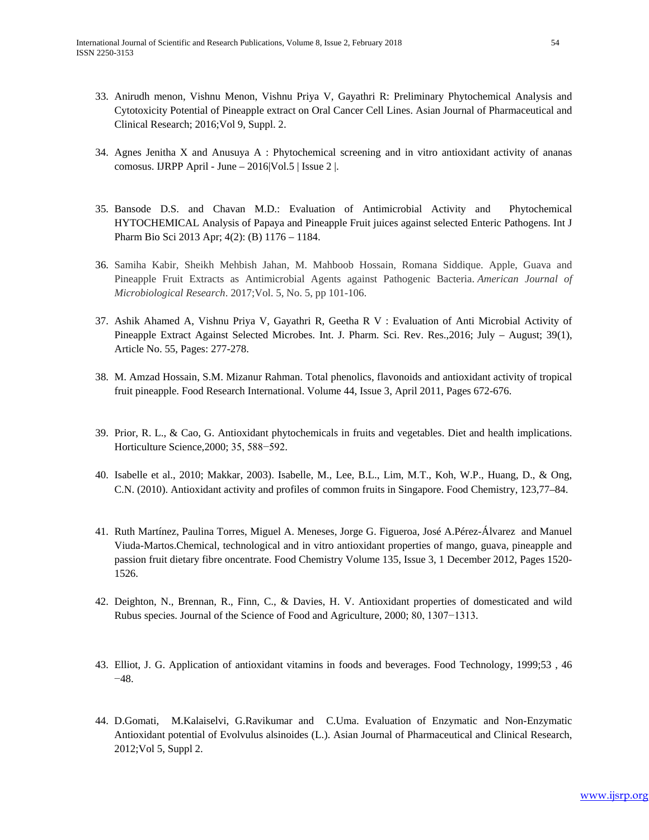- 33. Anirudh menon, Vishnu Menon, Vishnu Priya V, Gayathri R: Preliminary Phytochemical Analysis and Cytotoxicity Potential of Pineapple extract on Oral Cancer Cell Lines. Asian Journal of Pharmaceutical and Clinical Research; 2016;Vol 9, Suppl. 2.
- 34. Agnes Jenitha X and Anusuya A : Phytochemical screening and in vitro antioxidant activity of ananas comosus. IJRPP April - June –  $2016$ [Vol.5 | Issue 2 |.
- 35. Bansode D.S. and Chavan M.D.: Evaluation of Antimicrobial Activity and Phytochemical HYTOCHEMICAL Analysis of Papaya and Pineapple Fruit juices against selected Enteric Pathogens. Int J Pharm Bio Sci 2013 Apr; 4(2): (B) 1176 – 1184.
- 36. Samiha Kabir, Sheikh Mehbish Jahan, M. Mahboob Hossain, Romana Siddique. Apple, Guava and Pineapple Fruit Extracts as Antimicrobial Agents against Pathogenic Bacteria. *American Journal of Microbiological Research*. 2017;Vol. 5, No. 5, pp 101-106.
- 37. Ashik Ahamed A, Vishnu Priya V, Gayathri R, Geetha R V : Evaluation of Anti Microbial Activity of Pineapple Extract Against Selected Microbes. Int. J. Pharm. Sci. Rev. Res.,2016; July – August; 39(1), Article No. 55, Pages: 277-278.
- 38. [M. Amzad Hossain, S.M. Mizanur Rahman.](http://www.sciencedirect.com/science/article/pii/S0963996910004801#!) Total phenolics, flavonoids and antioxidant activity of tropical fruit pineapple[. Food Research International.](http://www.sciencedirect.com/science/journal/09639969) [Volume 44, Issue 3,](http://www.sciencedirect.com/science/journal/09639969/44/3) April 2011, Pages 672-676.
- 39. Prior, R. L., & Cao, G. Antioxidant phytochemicals in fruits and vegetables. Diet and health implications. Horticulture Science,2000; 35, 588−592.
- 40. Isabelle et al., 2010; Makkar, 2003). Isabelle, M., Lee, B.L., Lim, M.T., Koh, W.P., Huang, D., & Ong, C.N. (2010). Antioxidant activity and profiles of common fruits in Singapore. Food Chemistry, 123,77–84.
- 41. Ruth Martínez, Paulina Torres, Miguel A. Meneses, Jorge G. Figueroa, José A.Pérez-Álvarez and Manuel Viuda-Martos.Chemical, technological and in vitro antioxidant properties of mango, guava, pineapple and passion fruit dietary fibre oncentrate. Food Chemistry [Volume 135, Issue 3,](http://www.sciencedirect.com/science/journal/03088146/135/3) 1 December 2012, Pages 1520- 1526.
- 42. Deighton, N., Brennan, R., Finn, C., & Davies, H. V. Antioxidant properties of domesticated and wild Rubus species. Journal of the Science of Food and Agriculture, 2000; 80, 1307−1313.
- 43. Elliot, J. G. Application of antioxidant vitamins in foods and beverages. Food Technology, 1999;53 , 46 −48.
- 44. D.Gomati, M.Kalaiselvi, G.Ravikumar and C.Uma. Evaluation of Enzymatic and Non-Enzymatic Antioxidant potential of Evolvulus alsinoides (L.). Asian Journal of Pharmaceutical and Clinical Research, 2012;Vol 5, Suppl 2.